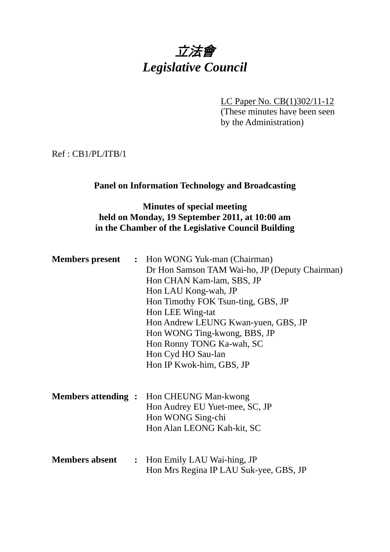# 立法會 *Legislative Council*

LC Paper No. CB(1)302/11-12 (These minutes have been seen

by the Administration)

Ref : CB1/PL/ITB/1

#### **Panel on Information Technology and Broadcasting**

## **Minutes of special meeting held on Monday, 19 September 2011, at 10:00 am in the Chamber of the Legislative Council Building**

|                           | <b>Members present : Hon WONG Yuk-man (Chairman)</b> |  |
|---------------------------|------------------------------------------------------|--|
|                           | Dr Hon Samson TAM Wai-ho, JP (Deputy Chairman)       |  |
|                           | Hon CHAN Kam-lam, SBS, JP                            |  |
|                           | Hon LAU Kong-wah, JP                                 |  |
|                           | Hon Timothy FOK Tsun-ting, GBS, JP                   |  |
|                           | Hon LEE Wing-tat                                     |  |
|                           | Hon Andrew LEUNG Kwan-yuen, GBS, JP                  |  |
|                           | Hon WONG Ting-kwong, BBS, JP                         |  |
|                           | Hon Ronny TONG Ka-wah, SC                            |  |
|                           | Hon Cyd HO Sau-lan                                   |  |
|                           | Hon IP Kwok-him, GBS, JP                             |  |
|                           |                                                      |  |
|                           |                                                      |  |
| <b>Members attending:</b> | Hon CHEUNG Man-kwong                                 |  |
|                           | Hon Audrey EU Yuet-mee, SC, JP                       |  |
|                           | Hon WONG Sing-chi                                    |  |
|                           | Hon Alan LEONG Kah-kit, SC                           |  |
|                           |                                                      |  |
|                           |                                                      |  |
| <b>Members absent</b>     | : Hon Emily LAU Wai-hing, JP                         |  |
|                           | Hon Mrs Regina IP LAU Suk-yee, GBS, JP               |  |
|                           |                                                      |  |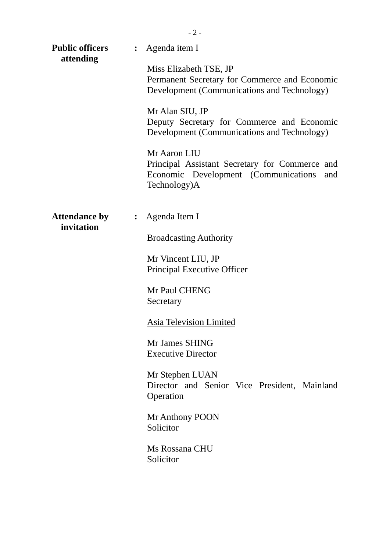| <b>Public officers</b><br>attending | : Agenda item I                                                                                                               |  |
|-------------------------------------|-------------------------------------------------------------------------------------------------------------------------------|--|
|                                     | Miss Elizabeth TSE, JP<br>Permanent Secretary for Commerce and Economic<br>Development (Communications and Technology)        |  |
|                                     | Mr Alan SIU, JP<br>Deputy Secretary for Commerce and Economic<br>Development (Communications and Technology)                  |  |
|                                     | Mr Aaron LIU<br>Principal Assistant Secretary for Commerce and<br>Economic Development (Communications<br>and<br>Technology)A |  |
| <b>Attendance by</b><br>invitation  | Agenda Item I                                                                                                                 |  |
|                                     | <b>Broadcasting Authority</b>                                                                                                 |  |
|                                     | Mr Vincent LIU, JP<br>Principal Executive Officer                                                                             |  |
|                                     | Mr Paul CHENG<br>Secretary                                                                                                    |  |
|                                     | <b>Asia Television Limited</b>                                                                                                |  |
|                                     | Mr James SHING<br><b>Executive Director</b>                                                                                   |  |
|                                     | Mr Stephen LUAN<br>Director and Senior Vice President, Mainland<br>Operation                                                  |  |
|                                     | Mr Anthony POON<br>Solicitor                                                                                                  |  |
|                                     | Ms Rossana CHU<br>Solicitor                                                                                                   |  |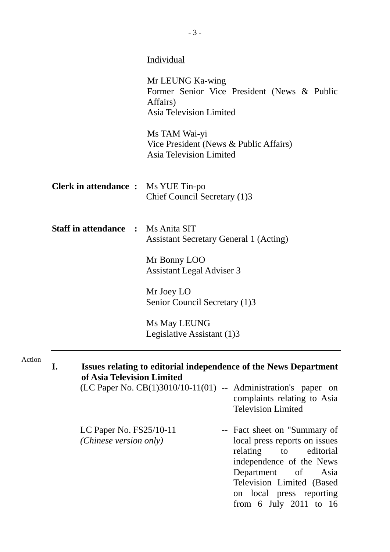|                                                     | <b>Individual</b>                                                                                                                                                                                                                            |  |  |  |  |  |
|-----------------------------------------------------|----------------------------------------------------------------------------------------------------------------------------------------------------------------------------------------------------------------------------------------------|--|--|--|--|--|
|                                                     | Mr LEUNG Ka-wing<br>Former Senior Vice President (News & Public<br>Affairs)<br>Asia Television Limited                                                                                                                                       |  |  |  |  |  |
|                                                     | Ms TAM Wai-yi<br>Vice President (News & Public Affairs)<br>Asia Television Limited                                                                                                                                                           |  |  |  |  |  |
| <b>Clerk in attendance :</b> Ms YUE Tin-po          | Chief Council Secretary (1)3                                                                                                                                                                                                                 |  |  |  |  |  |
| <b>Staff in attendance : Ms Anita SIT</b>           | <b>Assistant Secretary General 1 (Acting)</b>                                                                                                                                                                                                |  |  |  |  |  |
|                                                     | Mr Bonny LOO<br>Assistant Legal Adviser 3                                                                                                                                                                                                    |  |  |  |  |  |
|                                                     | Mr Joey LO<br>Senior Council Secretary (1)3                                                                                                                                                                                                  |  |  |  |  |  |
|                                                     | Ms May LEUNG<br>Legislative Assistant (1)3                                                                                                                                                                                                   |  |  |  |  |  |
| I.                                                  | Issues relating to editorial independence of the News Department<br>of Asia Television Limited                                                                                                                                               |  |  |  |  |  |
|                                                     | $(LC$ Paper No. $CB(1)3010/10-11(01)$ -- Administration's paper on<br>complaints relating to Asia<br><b>Television Limited</b>                                                                                                               |  |  |  |  |  |
| LC Paper No. $FS25/10-11$<br>(Chinese version only) | -- Fact sheet on "Summary of<br>local press reports on issues<br>relating to<br>editorial<br>independence of the News<br>Department<br>$\sigma f$<br>Asia<br>Television Limited (Based<br>on local press reporting<br>from 6 July 2011 to 16 |  |  |  |  |  |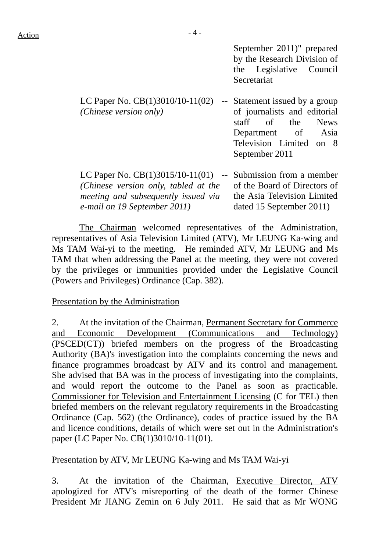September 2011)" prepared by the Research Division of the Legislative Council Secretariat

dated 15 September 2011)

| LC Paper No. $CB(1)3010/10-11(02)$    | $\sim$ $-$ | Statement issued by a group  |
|---------------------------------------|------------|------------------------------|
| (Chinese version only)                |            | of journalists and editorial |
|                                       |            | staff of the News            |
|                                       |            | Department of Asia           |
|                                       |            | Television Limited on 8      |
|                                       |            | September 2011               |
|                                       |            |                              |
| LC Paper No. $CB(1)3015/10-11(01)$ -- |            | Submission from a member     |
| (Chinese version only, tabled at the  |            | of the Board of Directors of |
| meeting and subsequently issued via   |            | the Asia Television Limited  |

 The Chairman welcomed representatives of the Administration, representatives of Asia Television Limited (ATV), Mr LEUNG Ka-wing and Ms TAM Wai-yi to the meeting. He reminded ATV, Mr LEUNG and Ms TAM that when addressing the Panel at the meeting, they were not covered by the privileges or immunities provided under the Legislative Council (Powers and Privileges) Ordinance (Cap. 382).

Presentation by the Administration

*e-mail on 19 September 2011)* 

2. At the invitation of the Chairman, Permanent Secretary for Commerce and Economic Development (Communications and Technology) (PSCED(CT)) briefed members on the progress of the Broadcasting Authority (BA)'s investigation into the complaints concerning the news and finance programmes broadcast by ATV and its control and management. She advised that BA was in the process of investigating into the complaints, and would report the outcome to the Panel as soon as practicable. Commissioner for Television and Entertainment Licensing (C for TEL) then briefed members on the relevant regulatory requirements in the Broadcasting Ordinance (Cap. 562) (the Ordinance), codes of practice issued by the BA and licence conditions, details of which were set out in the Administration's paper (LC Paper No. CB(1)3010/10-11(01).

#### Presentation by ATV, Mr LEUNG Ka-wing and Ms TAM Wai-yi

3. At the invitation of the Chairman, Executive Director, ATV apologized for ATV's misreporting of the death of the former Chinese President Mr JIANG Zemin on 6 July 2011. He said that as Mr WONG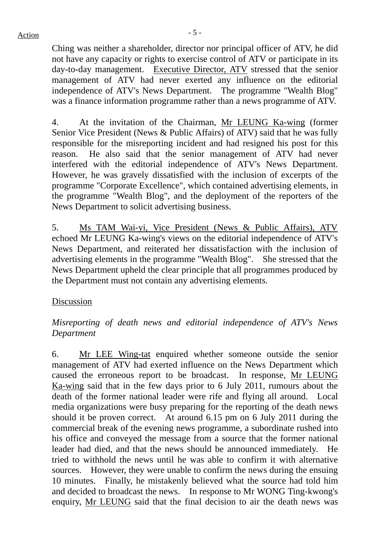Ching was neither a shareholder, director nor principal officer of ATV, he did not have any capacity or rights to exercise control of ATV or participate in its day-to-day management. Executive Director, ATV stressed that the senior management of ATV had never exerted any influence on the editorial independence of ATV's News Department. The programme "Wealth Blog" was a finance information programme rather than a news programme of ATV.

4. At the invitation of the Chairman, Mr LEUNG Ka-wing (former Senior Vice President (News & Public Affairs) of ATV) said that he was fully responsible for the misreporting incident and had resigned his post for this reason. He also said that the senior management of ATV had never interfered with the editorial independence of ATV's News Department. However, he was gravely dissatisfied with the inclusion of excerpts of the programme "Corporate Excellence", which contained advertising elements, in the programme "Wealth Blog", and the deployment of the reporters of the News Department to solicit advertising business.

5. Ms TAM Wai-yi, Vice President (News & Public Affairs), ATV echoed Mr LEUNG Ka-wing's views on the editorial independence of ATV's News Department, and reiterated her dissatisfaction with the inclusion of advertising elements in the programme "Wealth Blog". She stressed that the News Department upheld the clear principle that all programmes produced by the Department must not contain any advertising elements.

Discussion

*Misreporting of death news and editorial independence of ATV's News Department* 

6. Mr LEE Wing-tat enquired whether someone outside the senior management of ATV had exerted influence on the News Department which caused the erroneous report to be broadcast. In response, Mr LEUNG Ka-wing said that in the few days prior to 6 July 2011, rumours about the death of the former national leader were rife and flying all around. Local media organizations were busy preparing for the reporting of the death news should it be proven correct. At around 6.15 pm on 6 July 2011 during the commercial break of the evening news programme, a subordinate rushed into his office and conveyed the message from a source that the former national leader had died, and that the news should be announced immediately. He tried to withhold the news until he was able to confirm it with alternative sources. However, they were unable to confirm the news during the ensuing 10 minutes. Finally, he mistakenly believed what the source had told him and decided to broadcast the news. In response to Mr WONG Ting-kwong's enquiry, Mr LEUNG said that the final decision to air the death news was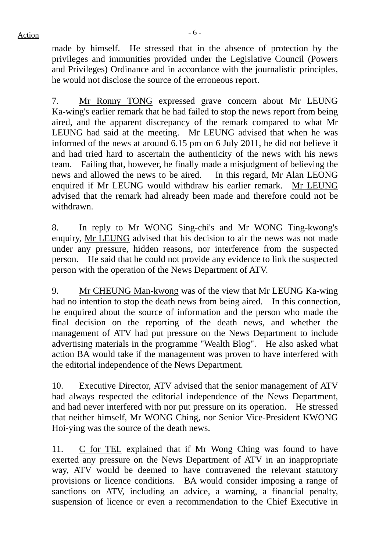$Action$ 

made by himself. He stressed that in the absence of protection by the privileges and immunities provided under the Legislative Council (Powers and Privileges) Ordinance and in accordance with the journalistic principles, he would not disclose the source of the erroneous report.

7. Mr Ronny TONG expressed grave concern about Mr LEUNG Ka-wing's earlier remark that he had failed to stop the news report from being aired, and the apparent discrepancy of the remark compared to what Mr LEUNG had said at the meeting. Mr LEUNG advised that when he was informed of the news at around 6.15 pm on 6 July 2011, he did not believe it and had tried hard to ascertain the authenticity of the news with his news team. Failing that, however, he finally made a misjudgment of believing the news and allowed the news to be aired. In this regard, Mr Alan LEONG enquired if Mr LEUNG would withdraw his earlier remark. Mr LEUNG advised that the remark had already been made and therefore could not be withdrawn.

8. In reply to Mr WONG Sing-chi's and Mr WONG Ting-kwong's enquiry, Mr LEUNG advised that his decision to air the news was not made under any pressure, hidden reasons, nor interference from the suspected person. He said that he could not provide any evidence to link the suspected person with the operation of the News Department of ATV.

9. Mr CHEUNG Man-kwong was of the view that Mr LEUNG Ka-wing had no intention to stop the death news from being aired. In this connection, he enquired about the source of information and the person who made the final decision on the reporting of the death news, and whether the management of ATV had put pressure on the News Department to include advertising materials in the programme "Wealth Blog". He also asked what action BA would take if the management was proven to have interfered with the editorial independence of the News Department.

10. Executive Director, ATV advised that the senior management of ATV had always respected the editorial independence of the News Department, and had never interfered with nor put pressure on its operation. He stressed that neither himself, Mr WONG Ching, nor Senior Vice-President KWONG Hoi-ying was the source of the death news.

11. C for TEL explained that if Mr Wong Ching was found to have exerted any pressure on the News Department of ATV in an inappropriate way, ATV would be deemed to have contravened the relevant statutory provisions or licence conditions. BA would consider imposing a range of sanctions on ATV, including an advice, a warning, a financial penalty, suspension of licence or even a recommendation to the Chief Executive in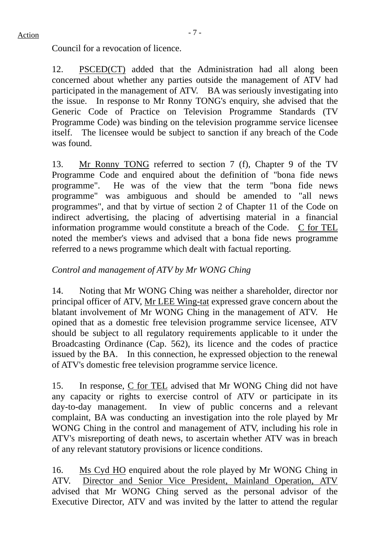Council for a revocation of licence.

12. PSCED(CT) added that the Administration had all along been concerned about whether any parties outside the management of ATV had participated in the management of ATV. BA was seriously investigating into the issue. In response to Mr Ronny TONG's enquiry, she advised that the Generic Code of Practice on Television Programme Standards (TV Programme Code) was binding on the television programme service licensee itself. The licensee would be subject to sanction if any breach of the Code was found.

13. Mr Ronny TONG referred to section 7 (f), Chapter 9 of the TV Programme Code and enquired about the definition of "bona fide news programme". He was of the view that the term "bona fide news programme" was ambiguous and should be amended to "all news programmes", and that by virtue of section 2 of Chapter 11 of the Code on indirect advertising, the placing of advertising material in a financial information programme would constitute a breach of the Code. C for TEL noted the member's views and advised that a bona fide news programme referred to a news programme which dealt with factual reporting.

## *Control and management of ATV by Mr WONG Ching*

14. Noting that Mr WONG Ching was neither a shareholder, director nor principal officer of ATV, Mr LEE Wing-tat expressed grave concern about the blatant involvement of Mr WONG Ching in the management of ATV. He opined that as a domestic free television programme service licensee, ATV should be subject to all regulatory requirements applicable to it under the Broadcasting Ordinance (Cap. 562), its licence and the codes of practice issued by the BA. In this connection, he expressed objection to the renewal of ATV's domestic free television programme service licence.

15. In response, C for TEL advised that Mr WONG Ching did not have any capacity or rights to exercise control of ATV or participate in its day-to-day management. In view of public concerns and a relevant complaint, BA was conducting an investigation into the role played by Mr WONG Ching in the control and management of ATV, including his role in ATV's misreporting of death news, to ascertain whether ATV was in breach of any relevant statutory provisions or licence conditions.

16. Ms Cyd HO enquired about the role played by Mr WONG Ching in ATV. Director and Senior Vice President, Mainland Operation, ATV advised that Mr WONG Ching served as the personal advisor of the Executive Director, ATV and was invited by the latter to attend the regular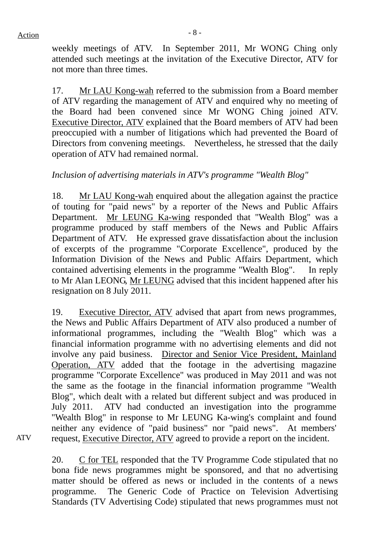weekly meetings of ATV. In September 2011, Mr WONG Ching only attended such meetings at the invitation of the Executive Director, ATV for not more than three times.

17. Mr LAU Kong-wah referred to the submission from a Board member of ATV regarding the management of ATV and enquired why no meeting of the Board had been convened since Mr WONG Ching joined ATV. Executive Director, ATV explained that the Board members of ATV had been preoccupied with a number of litigations which had prevented the Board of Directors from convening meetings. Nevertheless, he stressed that the daily operation of ATV had remained normal.

# *Inclusion of advertising materials in ATV's programme "Wealth Blog"*

18. Mr LAU Kong-wah enquired about the allegation against the practice of touting for "paid news" by a reporter of the News and Public Affairs Department. Mr LEUNG Ka-wing responded that "Wealth Blog" was a programme produced by staff members of the News and Public Affairs Department of ATV. He expressed grave dissatisfaction about the inclusion of excerpts of the programme "Corporate Excellence", produced by the Information Division of the News and Public Affairs Department, which contained advertising elements in the programme "Wealth Blog". In reply to Mr Alan LEONG, Mr LEUNG advised that this incident happened after his resignation on 8 July 2011.

19. Executive Director, ATV advised that apart from news programmes, the News and Public Affairs Department of ATV also produced a number of informational programmes, including the "Wealth Blog" which was a financial information programme with no advertising elements and did not involve any paid business. Director and Senior Vice President, Mainland Operation, ATV added that the footage in the advertising magazine programme "Corporate Excellence" was produced in May 2011 and was not the same as the footage in the financial information programme "Wealth Blog", which dealt with a related but different subject and was produced in July 2011. ATV had conducted an investigation into the programme "Wealth Blog" in response to Mr LEUNG Ka-wing's complaint and found neither any evidence of "paid business" nor "paid news". At members' request, Executive Director, ATV agreed to provide a report on the incident.

ATV

20. C for TEL responded that the TV Programme Code stipulated that no bona fide news programmes might be sponsored, and that no advertising matter should be offered as news or included in the contents of a news programme. The Generic Code of Practice on Television Advertising Standards (TV Advertising Code) stipulated that news programmes must not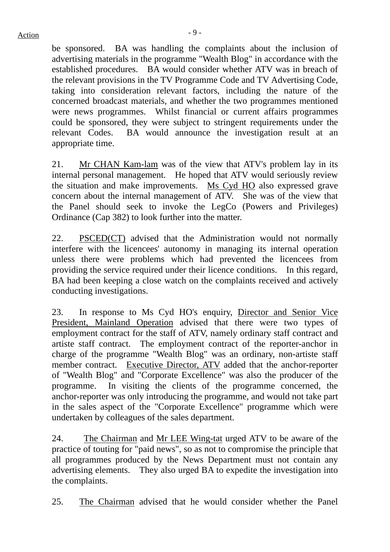be sponsored. BA was handling the complaints about the inclusion of advertising materials in the programme "Wealth Blog" in accordance with the established procedures. BA would consider whether ATV was in breach of the relevant provisions in the TV Programme Code and TV Advertising Code, taking into consideration relevant factors, including the nature of the concerned broadcast materials, and whether the two programmes mentioned were news programmes. Whilst financial or current affairs programmes could be sponsored, they were subject to stringent requirements under the relevant Codes. BA would announce the investigation result at an appropriate time.

21. Mr CHAN Kam-lam was of the view that ATV's problem lay in its internal personal management. He hoped that ATV would seriously review the situation and make improvements. Ms Cyd HO also expressed grave concern about the internal management of ATV. She was of the view that the Panel should seek to invoke the LegCo (Powers and Privileges) Ordinance (Cap 382) to look further into the matter.

22. PSCED(CT) advised that the Administration would not normally interfere with the licencees' autonomy in managing its internal operation unless there were problems which had prevented the licencees from providing the service required under their licence conditions. In this regard, BA had been keeping a close watch on the complaints received and actively conducting investigations.

23. In response to Ms Cyd HO's enquiry, Director and Senior Vice President, Mainland Operation advised that there were two types of employment contract for the staff of ATV, namely ordinary staff contract and artiste staff contract. The employment contract of the reporter-anchor in charge of the programme "Wealth Blog" was an ordinary, non-artiste staff member contract. Executive Director, ATV added that the anchor-reporter of "Wealth Blog" and "Corporate Excellence" was also the producer of the programme. In visiting the clients of the programme concerned, the anchor-reporter was only introducing the programme, and would not take part in the sales aspect of the "Corporate Excellence" programme which were undertaken by colleagues of the sales department.

24. The Chairman and Mr LEE Wing-tat urged ATV to be aware of the practice of touting for "paid news", so as not to compromise the principle that all programmes produced by the News Department must not contain any advertising elements. They also urged BA to expedite the investigation into the complaints.

25. The Chairman advised that he would consider whether the Panel